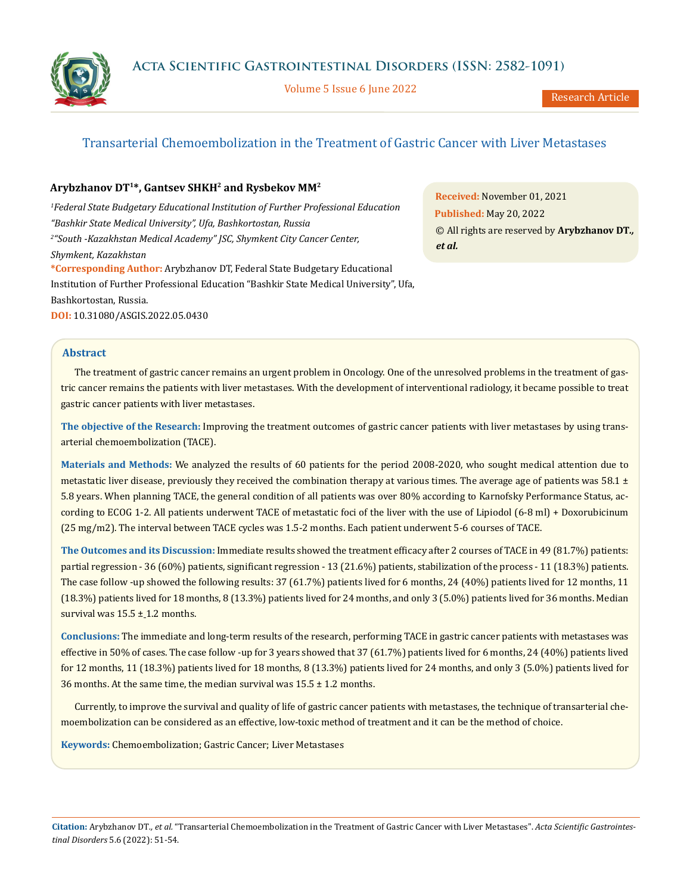Volume 5 Issue 6 June 2022

# Transarterial Chemoembolization in the Treatment of Gastric Cancer with Liver Metastases

# **Arybzhanov DT1\*, Gantsev SHKH2 and Rysbekov MM2**

*1 Federal State Budgetary Educational Institution of Further Professional Education "Bashkir State Medical University", Ufa, Bashkortostan, Russia 2 "South -Kazakhstan Medical Academy" JSC, Shymkent City Cancer Center, Shymkent, Kazakhstan* **\*Corresponding Author:** Arybzhanov DT, Federal State Budgetary Educational Institution of Further Professional Education "Bashkir State Medical University", Ufa, Bashkortostan, Russia.

**DOI:** [10.31080/ASGIS.2022.05.0430](https://actascientific.com/ASGIS/pdf/ASGIS-05-0430.pdf)

**Received:** November 01, 2021 **Published:** May 20, 2022 © All rights are reserved by **Arybzhanov DT***., et al.*

# **Abstract**

The treatment of gastric cancer remains an urgent problem in Oncology. One of the unresolved problems in the treatment of gastric cancer remains the patients with liver metastases. With the development of interventional radiology, it became possible to treat gastric cancer patients with liver metastases.

**The objective of the Research:** Improving the treatment outcomes of gastric cancer patients with liver metastases by using transarterial chemoembolization (TACE).

**Materials and Methods:** We analyzed the results of 60 patients for the period 2008-2020, who sought medical attention due to metastatic liver disease, previously they received the combination therapy at various times. The average age of patients was  $58.1 \pm$ 5.8 years. When planning TACE, the general condition of all patients was over 80% according to Karnofsky Performance Status, according to ECOG 1-2. All patients underwent TACE of metastatic foci of the liver with the use of Lipiodol (6-8 ml) + Doxorubicinum (25 mg/m2). The interval between TACE cycles was 1.5-2 months. Each patient underwent 5-6 courses of TACE.

**The Outcomes and its Discussion:** Immediate results showed the treatment efficacy after 2 courses of TACE in 49 (81.7%) patients: partial regression - 36 (60%) patients, significant regression - 13 (21.6%) patients, stabilization of the process - 11 (18.3%) patients. The case follow -up showed the following results: 37 (61.7%) patients lived for 6 months, 24 (40%) patients lived for 12 months, 11 (18.3%) patients lived for 18 months, 8 (13.3%) patients lived for 24 months, and only 3 (5.0%) patients lived for 36 months. Median survival was  $15.5 \pm 1.2$  months.

**Conclusions:** The immediate and long-term results of the research, performing TACE in gastric cancer patients with metastases was effective in 50% of cases. The case follow -up for 3 years showed that 37 (61.7%) patients lived for 6 months, 24 (40%) patients lived for 12 months, 11 (18.3%) patients lived for 18 months, 8 (13.3%) patients lived for 24 months, and only 3 (5.0%) patients lived for 36 months. At the same time, the median survival was  $15.5 \pm 1.2$  months.

Currently, to improve the survival and quality of life of gastric cancer patients with metastases, the technique of transarterial chemoembolization can be considered as an effective, low-toxic method of treatment and it can be the method of choice.

**Keywords:** Chemoembolization; Gastric Cancer; Liver Metastases

**Citation:** Arybzhanov DT*., et al.* "Transarterial Chemoembolization in the Treatment of Gastric Cancer with Liver Metastases". *Acta Scientific Gastrointestinal Disorders* 5.6 (2022): 51-54.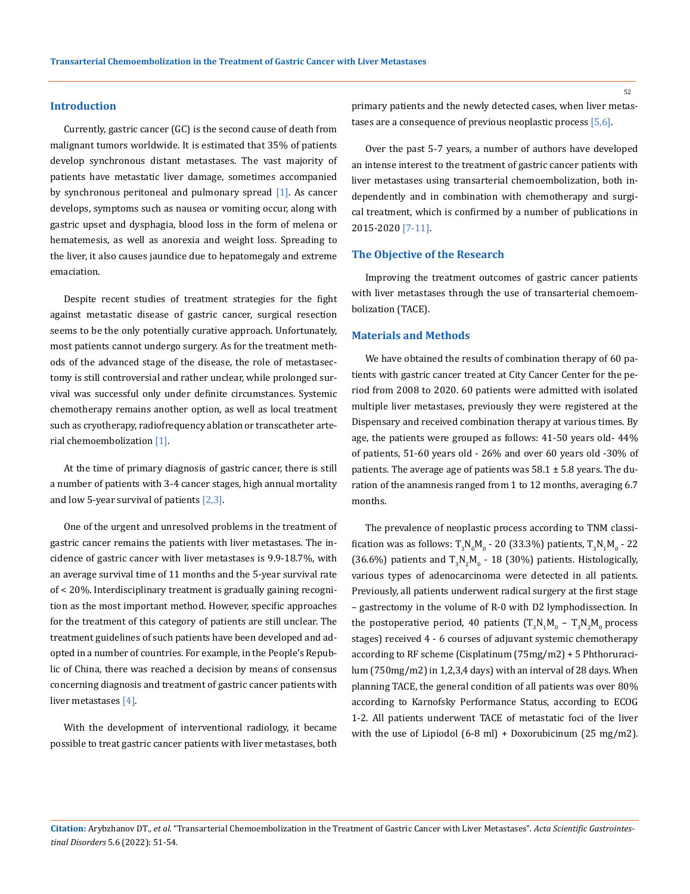#### **Introduction**

Currently, gastric cancer (GC) is the second cause of death from malignant tumors worldwide. It is estimated that 35% of patients develop synchronous distant metastases. The vast majority of patients have metastatic liver damage, sometimes accompanied by synchronous peritoneal and pulmonary spread [1]. As cancer develops, symptoms such as nausea or vomiting occur, along with gastric upset and dysphagia, blood loss in the form of melena or hematemesis, as well as anorexia and weight loss. Spreading to the liver, it also causes jaundice due to hepatomegaly and extreme emaciation.

Despite recent studies of treatment strategies for the fight against metastatic disease of gastric cancer, surgical resection seems to be the only potentially curative approach. Unfortunately, most patients cannot undergo surgery. As for the treatment methods of the advanced stage of the disease, the role of metastasectomy is still controversial and rather unclear, while prolonged survival was successful only under definite circumstances. Systemic chemotherapy remains another option, as well as local treatment such as cryotherapy, radiofrequency ablation or transcatheter arterial chemoembolization [1].

At the time of primary diagnosis of gastric cancer, there is still a number of patients with 3-4 cancer stages, high annual mortality and low 5-year survival of patients  $[2,3]$ .

One of the urgent and unresolved problems in the treatment of gastric cancer remains the patients with liver metastases. The incidence of gastric cancer with liver metastases is 9.9-18.7%, with an average survival time of 11 months and the 5-year survival rate of < 20%. Interdisciplinary treatment is gradually gaining recognition as the most important method. However, specific approaches for the treatment of this category of patients are still unclear. The treatment guidelines of such patients have been developed and adopted in a number of countries. For example, in the People's Republic of China, there was reached a decision by means of consensus concerning diagnosis and treatment of gastric cancer patients with liver metastases [4].

With the development of interventional radiology, it became possible to treat gastric cancer patients with liver metastases, both primary patients and the newly detected cases, when liver metastases are a consequence of previous neoplastic process [5,6].

Over the past 5-7 years, a number of authors have developed an intense interest to the treatment of gastric cancer patients with liver metastases using transarterial chemoembolization, both independently and in combination with chemotherapy and surgical treatment, which is confirmed by a number of publications in 2015-2020 [7-11].

#### **The Objective of the Research**

Improving the treatment outcomes of gastric cancer patients with liver metastases through the use of transarterial chemoembolization (TACE).

#### **Materials and Methods**

We have obtained the results of combination therapy of 60 patients with gastric cancer treated at City Cancer Center for the period from 2008 to 2020. 60 patients were admitted with isolated multiple liver metastases, previously they were registered at the Dispensary and received combination therapy at various times. By age, the patients were grouped as follows: 41-50 years old- 44% of patients, 51-60 years old - 26% and over 60 years old -30% of patients. The average age of patients was  $58.1 \pm 5.8$  years. The duration of the anamnesis ranged from 1 to 12 months, averaging 6.7 months.

The prevalence of neoplastic process according to TNM classification was as follows: T<sub>3</sub>N<sub>0</sub>M<sub>0</sub> - 20 (33.3%) patients, T<sub>3</sub>N<sub>1</sub>M<sub>0</sub> - 22 (36.6%) patients and  $T_3N_2M_0$  - 18 (30%) patients. Histologically, various types of adenocarcinoma were detected in all patients. Previously, all patients underwent radical surgery at the first stage – gastrectomy in the volume of R-0 with D2 lymphodissection. In the postoperative period, 40 patients  $(T_3N_1M_0 - T_3N_2M_0)$  process stages) received 4 - 6 courses of adjuvant systemic chemotherapy according to RF scheme (Cisplatinum (75mg/m2) + 5 Phthoruracilum (750mg/m2) in 1,2,3,4 days) with an interval of 28 days. When planning TACE, the general condition of all patients was over 80% according to Karnofsky Performance Status, according to ECOG 1-2. All patients underwent TACE of metastatic foci of the liver with the use of Lipiodol (6-8 ml) + Doxorubicinum (25 mg/m2).

### **Citation:** Arybzhanov DT*., et al.* "Transarterial Chemoembolization in the Treatment of Gastric Cancer with Liver Metastases". *Acta Scientific Gastrointestinal Disorders* 5.6 (2022): 51-54.

52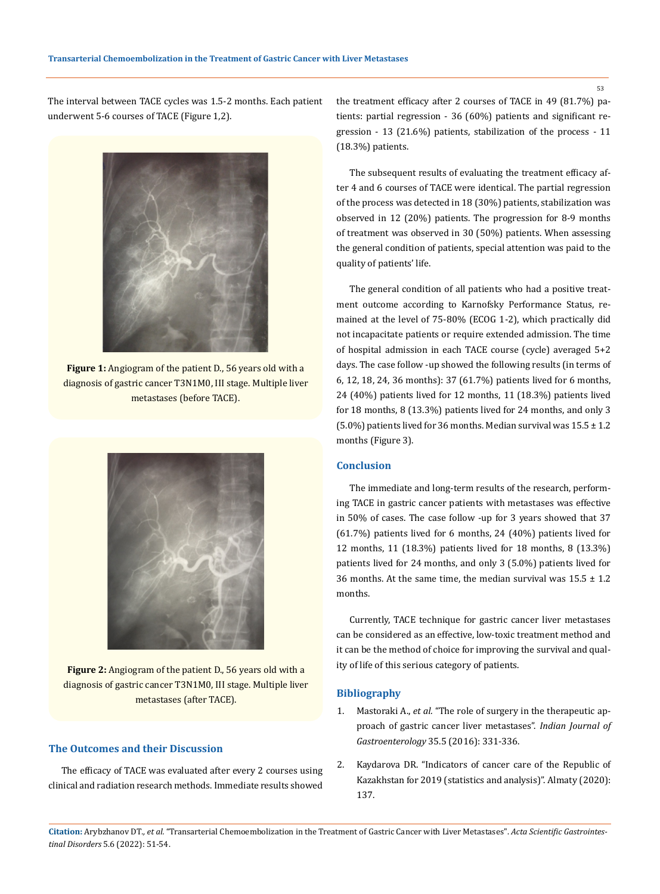The interval between TACE cycles was 1.5-2 months. Each patient underwent 5-6 courses of TACE (Figure 1,2).



**Figure 1:** Angiogram of the patient D., 56 years old with a diagnosis of gastric cancer T3N1M0, III stage. Multiple liver metastases (before TACE).



**Figure 2:** Angiogram of the patient D., 56 years old with a diagnosis of gastric cancer T3N1M0, III stage. Multiple liver metastases (after TACE).

# **The Outcomes and their Discussion**

The efficacy of TACE was evaluated after every 2 courses using clinical and radiation research methods. Immediate results showed the treatment efficacy after 2 courses of TACE in 49 (81.7%) patients: partial regression - 36 (60%) patients and significant regression - 13 (21.6%) patients, stabilization of the process - 11 (18.3%) patients.

The subsequent results of evaluating the treatment efficacy after 4 and 6 courses of TACE were identical. The partial regression of the process was detected in 18 (30%) patients, stabilization was observed in 12 (20%) patients. The progression for 8-9 months of treatment was observed in 30 (50%) patients. When assessing the general condition of patients, special attention was paid to the quality of patients' life.

The general condition of all patients who had a positive treatment outcome according to Karnofsky Performance Status, remained at the level of 75-80% (ECOG 1-2), which practically did not incapacitate patients or require extended admission. The time of hospital admission in each TACE course (cycle) averaged 5+2 days. The case follow -up showed the following results (in terms of 6, 12, 18, 24, 36 months): 37 (61.7%) patients lived for 6 months, 24 (40%) patients lived for 12 months, 11 (18.3%) patients lived for 18 months, 8 (13.3%) patients lived for 24 months, and only 3 (5.0%) patients lived for 36 months. Median survival was  $15.5 \pm 1.2$ months (Figure 3).

# **Conclusion**

The immediate and long-term results of the research, performing TACE in gastric cancer patients with metastases was effective in 50% of cases. The case follow -up for 3 years showed that 37 (61.7%) patients lived for 6 months, 24 (40%) patients lived for 12 months, 11 (18.3%) patients lived for 18 months, 8 (13.3%) patients lived for 24 months, and only 3 (5.0%) patients lived for 36 months. At the same time, the median survival was  $15.5 \pm 1.2$ months.

Currently, TACE technique for gastric cancer liver metastases can be considered as an effective, low-toxic treatment method and it can be the method of choice for improving the survival and quality of life of this serious category of patients.

# **Bibliography**

- 1. Mastoraki A., *et al.* ["The role of surgery in the](https://pubmed.ncbi.nlm.nih.gov/27528456/) therapeutic approach of gastric cancer liver metastases". *[Indian Journal of](https://pubmed.ncbi.nlm.nih.gov/27528456/)  Gastroenterology* [35.5 \(2016\): 331-336.](https://pubmed.ncbi.nlm.nih.gov/27528456/)
- 2. Kaydarova DR. "Indicators of cancer care of the Republic of Kazakhstan for 2019 (statistics and analysis)". Almaty (2020): 137.

**Citation:** Arybzhanov DT*., et al.* "Transarterial Chemoembolization in the Treatment of Gastric Cancer with Liver Metastases". *Acta Scientific Gastrointestinal Disorders* 5.6 (2022): 51-54.

53